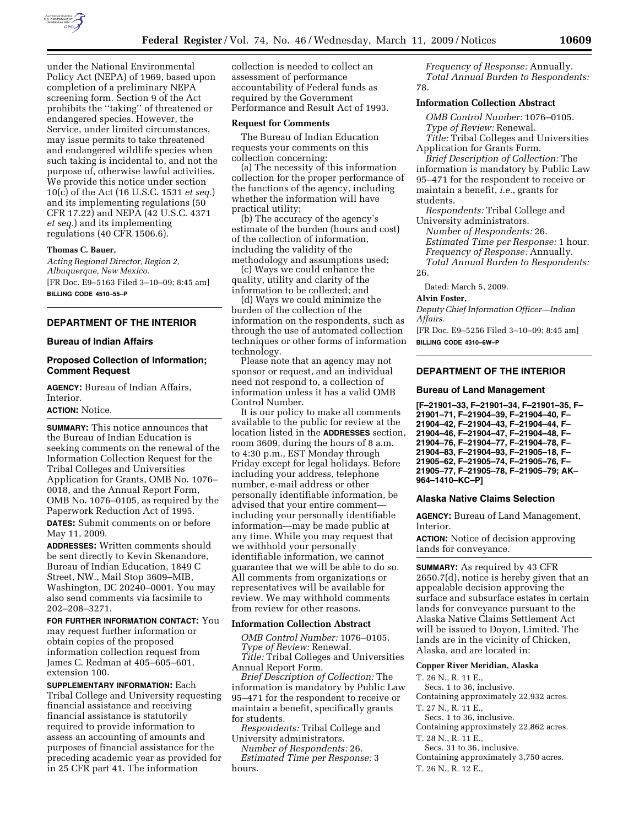

under the National Environmental Policy Act (NEPA) of 1969, based upon completion of a preliminary NEPA screening form. Section 9 of the Act prohibits the ''taking'' of threatened or endangered species. However, the Service, under limited circumstances, may issue permits to take threatened and endangered wildlife species when such taking is incidental to, and not the purpose of, otherwise lawful activities. We provide this notice under section 10(c) of the Act (16 U.S.C. 1531 *et seq.*) and its implementing regulations (50 CFR 17.22) and NEPA (42 U.S.C. 4371 *et seq.*) and its implementing regulations (40 CFR 1506.6).

#### **Thomas C. Bauer,**

*Acting Regional Director, Region 2, Albuquerque, New Mexico.*  [FR Doc. E9–5163 Filed 3–10–09; 8:45 am] **BILLING CODE 4510–55–P** 

# **DEPARTMENT OF THE INTERIOR**

### **Bureau of Indian Affairs**

# **Proposed Collection of Information; Comment Request**

**AGENCY:** Bureau of Indian Affairs, Interior. **ACTION:** Notice.

**SUMMARY:** This notice announces that the Bureau of Indian Education is seeking comments on the renewal of the Information Collection Request for the Tribal Colleges and Universities Application for Grants, OMB No. 1076– 0018, and the Annual Report Form, OMB No. 1076–0105, as required by the Paperwork Reduction Act of 1995. **DATES:** Submit comments on or before May 11, 2009.

**ADDRESSES:** Written comments should be sent directly to Kevin Skenandore, Bureau of Indian Education, 1849 C Street, NW., Mail Stop 3609–MIB, Washington, DC 20240–0001. You may also send comments via facsimile to 202–208–3271.

**FOR FURTHER INFORMATION CONTACT:** You may request further information or obtain copies of the proposed information collection request from James C. Redman at 405–605–601, extension 100.

**SUPPLEMENTARY INFORMATION:** Each Tribal College and University requesting financial assistance and receiving financial assistance is statutorily required to provide information to assess an accounting of amounts and purposes of financial assistance for the preceding academic year as provided for in 25 CFR part 41. The information

collection is needed to collect an assessment of performance accountability of Federal funds as required by the Government Performance and Result Act of 1993.

## **Request for Comments**

The Bureau of Indian Education requests your comments on this collection concerning:

(a) The necessity of this information collection for the proper performance of the functions of the agency, including whether the information will have practical utility;

(b) The accuracy of the agency's estimate of the burden (hours and cost) of the collection of information, including the validity of the methodology and assumptions used;

(c) Ways we could enhance the quality, utility and clarity of the information to be collected; and

(d) Ways we could minimize the burden of the collection of the information on the respondents, such as through the use of automated collection techniques or other forms of information technology.

Please note that an agency may not sponsor or request, and an individual need not respond to, a collection of information unless it has a valid OMB Control Number.

It is our policy to make all comments available to the public for review at the location listed in the **ADDRESSES** section, room 3609, during the hours of 8 a.m. to 4:30 p.m., EST Monday through Friday except for legal holidays. Before including your address, telephone number, e-mail address or other personally identifiable information, be advised that your entire comment including your personally identifiable information—may be made public at any time. While you may request that we withhold your personally identifiable information, we cannot guarantee that we will be able to do so. All comments from organizations or representatives will be available for review. We may withhold comments from review for other reasons.

#### **Information Collection Abstract**

*OMB Control Number:* 1076–0105. *Type of Review:* Renewal.

*Title:* Tribal Colleges and Universities Annual Report Form.

*Brief Description of Collection:* The information is mandatory by Public Law 95–471 for the respondent to receive or maintain a benefit, specifically grants for students.

*Respondents:* Tribal College and University administrators.

*Number of Respondents:* 26. *Estimated Time per Response:* 3 hours.

*Frequency of Response:* Annually. *Total Annual Burden to Respondents:*  78.

## **Information Collection Abstract**

*OMB Control Number:* 1076–0105. *Type of Review:* Renewal.

*Title:* Tribal Colleges and Universities Application for Grants Form.

*Brief Description of Collection:* The information is mandatory by Public Law 95–471 for the respondent to receive or maintain a benefit, *i.e.*, grants for students.

*Respondents:* Tribal College and University administrators.

*Number of Respondents:* 26. *Estimated Time per Response:* 1 hour. *Frequency of Response:* Annually. *Total Annual Burden to Respondents:*  26.

Dated: March 5, 2009.

## **Alvin Foster,**

*Deputy Chief Information Officer—Indian Affairs.* 

[FR Doc. E9–5256 Filed 3–10–09; 8:45 am] **BILLING CODE 4310–6W–P** 

## **DEPARTMENT OF THE INTERIOR**

#### **Bureau of Land Management**

**[F–21901–33, F–21901–34, F–21901–35, F– 21901–71, F–21904–39, F–21904–40, F– 21904–42, F–21904–43, F–21904–44, F– 21904–46, F–21904–47, F–21904–48, F– 21904–76, F–21904–77, F–21904–78, F– 21904–83, F–21904–93, F–21905–18, F– 21905–62, F–21905–74, F–21905–76, F– 21905–77, F–21905–78, F–21905–79; AK– 964–1410–KC–P]** 

#### **Alaska Native Claims Selection**

**AGENCY:** Bureau of Land Management, Interior.

**ACTION:** Notice of decision approving lands for conveyance.

**SUMMARY:** As required by 43 CFR 2650.7(d), notice is hereby given that an appealable decision approving the surface and subsurface estates in certain lands for conveyance pursuant to the Alaska Native Claims Settlement Act will be issued to Doyon, Limited. The lands are in the vicinity of Chicken, Alaska, and are located in:

### **Copper River Meridian, Alaska**

T. 26 N., R. 11 E.,

Secs. 1 to 36, inclusive.

Containing approximately 22,932 acres. T. 27 N., R. 11 E.,

- 
- Secs. 1 to 36, inclusive. Containing approximately 22,862 acres.
- T. 28 N., R. 11 E.,

Secs. 31 to 36, inclusive.

Containing approximately 3,750 acres. T. 26 N., R. 12 E.,